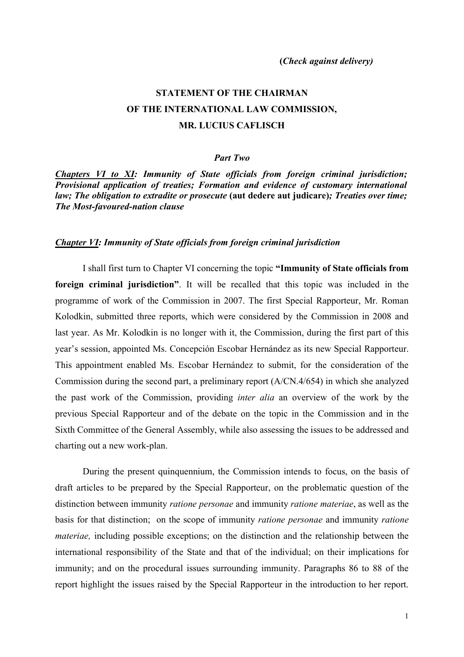# **STATEMENT OF THE CHAIRMAN OF THE INTERNATIONAL LAW COMMISSION, MR. LUCIUS CAFLISCH**

#### *Part Two*

*Chapters VI to XI: Immunity of State officials from foreign criminal jurisdiction; Provisional application of treaties; Formation and evidence of customary international law; The obligation to extradite or prosecute* **(aut dedere aut judicare)***; Treaties over time; The Most-favoured-nation clause*

#### *Chapter VI: Immunity of State officials from foreign criminal jurisdiction*

I shall first turn to Chapter VI concerning the topic **"Immunity of State officials from foreign criminal jurisdiction"**. It will be recalled that this topic was included in the programme of work of the Commission in 2007. The first Special Rapporteur, Mr. Roman Kolodkin, submitted three reports, which were considered by the Commission in 2008 and last year. As Mr. Kolodkin is no longer with it, the Commission, during the first part of this year's session, appointed Ms. Concepción Escobar Hernández as its new Special Rapporteur. This appointment enabled Ms. Escobar Hernández to submit, for the consideration of the Commission during the second part, a preliminary report (A/CN.4/654) in which she analyzed the past work of the Commission, providing *inter alia* an overview of the work by the previous Special Rapporteur and of the debate on the topic in the Commission and in the Sixth Committee of the General Assembly, while also assessing the issues to be addressed and charting out a new work-plan.

During the present quinquennium, the Commission intends to focus, on the basis of draft articles to be prepared by the Special Rapporteur, on the problematic question of the distinction between immunity *ratione personae* and immunity *ratione materiae*, as well as the basis for that distinction; on the scope of immunity *ratione personae* and immunity *ratione materiae,* including possible exceptions; on the distinction and the relationship between the international responsibility of the State and that of the individual; on their implications for immunity; and on the procedural issues surrounding immunity. Paragraphs 86 to 88 of the report highlight the issues raised by the Special Rapporteur in the introduction to her report.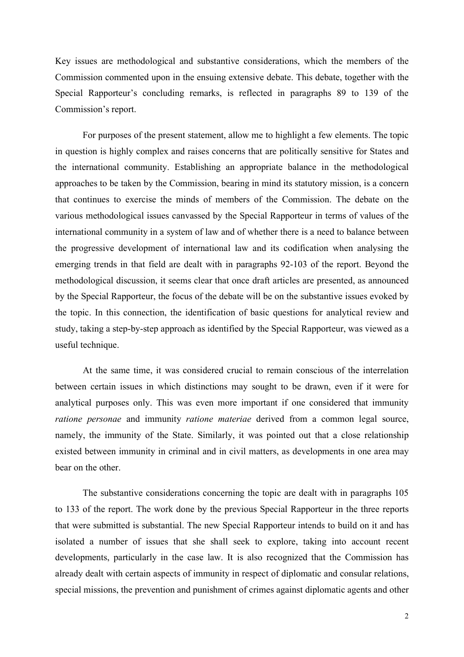Key issues are methodological and substantive considerations, which the members of the Commission commented upon in the ensuing extensive debate. This debate, together with the Special Rapporteur's concluding remarks, is reflected in paragraphs 89 to 139 of the Commission's report.

For purposes of the present statement, allow me to highlight a few elements. The topic in question is highly complex and raises concerns that are politically sensitive for States and the international community. Establishing an appropriate balance in the methodological approaches to be taken by the Commission, bearing in mind its statutory mission, is a concern that continues to exercise the minds of members of the Commission. The debate on the various methodological issues canvassed by the Special Rapporteur in terms of values of the international community in a system of law and of whether there is a need to balance between the progressive development of international law and its codification when analysing the emerging trends in that field are dealt with in paragraphs 92-103 of the report. Beyond the methodological discussion, it seems clear that once draft articles are presented, as announced by the Special Rapporteur, the focus of the debate will be on the substantive issues evoked by the topic. In this connection, the identification of basic questions for analytical review and study, taking a step-by-step approach as identified by the Special Rapporteur, was viewed as a useful technique.

At the same time, it was considered crucial to remain conscious of the interrelation between certain issues in which distinctions may sought to be drawn, even if it were for analytical purposes only. This was even more important if one considered that immunity *ratione personae* and immunity *ratione materiae* derived from a common legal source, namely, the immunity of the State. Similarly, it was pointed out that a close relationship existed between immunity in criminal and in civil matters, as developments in one area may bear on the other.

The substantive considerations concerning the topic are dealt with in paragraphs 105 to 133 of the report. The work done by the previous Special Rapporteur in the three reports that were submitted is substantial. The new Special Rapporteur intends to build on it and has isolated a number of issues that she shall seek to explore, taking into account recent developments, particularly in the case law. It is also recognized that the Commission has already dealt with certain aspects of immunity in respect of diplomatic and consular relations, special missions, the prevention and punishment of crimes against diplomatic agents and other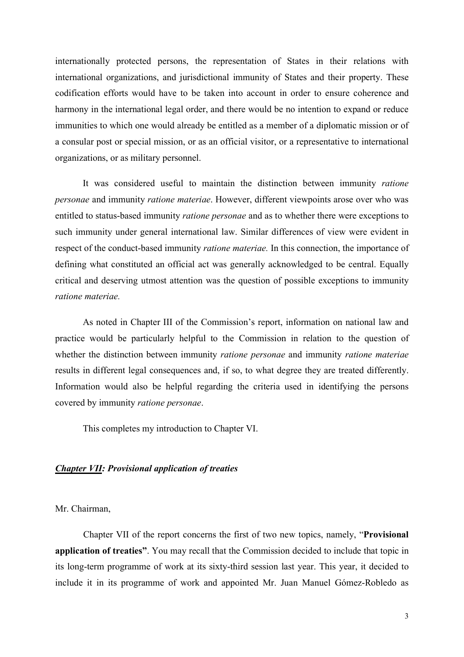internationally protected persons, the representation of States in their relations with international organizations, and jurisdictional immunity of States and their property. These codification efforts would have to be taken into account in order to ensure coherence and harmony in the international legal order, and there would be no intention to expand or reduce immunities to which one would already be entitled as a member of a diplomatic mission or of a consular post or special mission, or as an official visitor, or a representative to international organizations, or as military personnel.

It was considered useful to maintain the distinction between immunity *ratione personae* and immunity *ratione materiae*. However, different viewpoints arose over who was entitled to status-based immunity *ratione personae* and as to whether there were exceptions to such immunity under general international law. Similar differences of view were evident in respect of the conduct-based immunity *ratione materiae.* In this connection, the importance of defining what constituted an official act was generally acknowledged to be central. Equally critical and deserving utmost attention was the question of possible exceptions to immunity *ratione materiae.* 

As noted in Chapter III of the Commission's report, information on national law and practice would be particularly helpful to the Commission in relation to the question of whether the distinction between immunity *ratione personae* and immunity *ratione materiae* results in different legal consequences and, if so, to what degree they are treated differently. Information would also be helpful regarding the criteria used in identifying the persons covered by immunity *ratione personae*.

This completes my introduction to Chapter VI.

## *Chapter VII: Provisional application of treaties*

Mr. Chairman,

Chapter VII of the report concerns the first of two new topics, namely, "**Provisional application of treaties"**. You may recall that the Commission decided to include that topic in its long-term programme of work at its sixty-third session last year. This year, it decided to include it in its programme of work and appointed Mr. Juan Manuel Gómez-Robledo as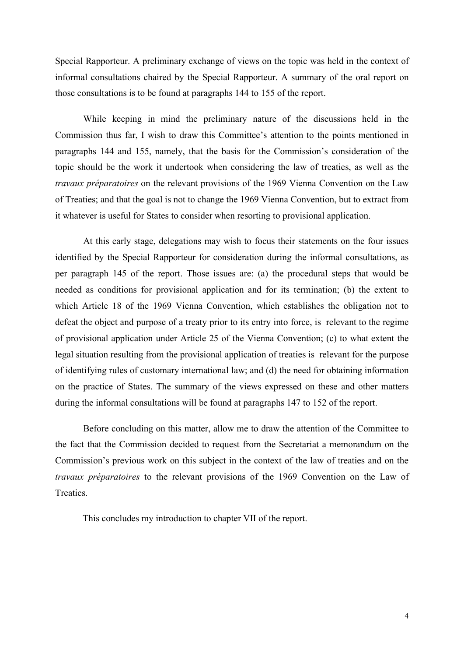Special Rapporteur. A preliminary exchange of views on the topic was held in the context of informal consultations chaired by the Special Rapporteur. A summary of the oral report on those consultations is to be found at paragraphs 144 to 155 of the report.

While keeping in mind the preliminary nature of the discussions held in the Commission thus far, I wish to draw this Committee's attention to the points mentioned in paragraphs 144 and 155, namely, that the basis for the Commission's consideration of the topic should be the work it undertook when considering the law of treaties, as well as the *travaux préparatoires* on the relevant provisions of the 1969 Vienna Convention on the Law of Treaties; and that the goal is not to change the 1969 Vienna Convention, but to extract from it whatever is useful for States to consider when resorting to provisional application.

At this early stage, delegations may wish to focus their statements on the four issues identified by the Special Rapporteur for consideration during the informal consultations, as per paragraph 145 of the report. Those issues are: (a) the procedural steps that would be needed as conditions for provisional application and for its termination; (b) the extent to which Article 18 of the 1969 Vienna Convention, which establishes the obligation not to defeat the object and purpose of a treaty prior to its entry into force, is relevant to the regime of provisional application under Article 25 of the Vienna Convention; (c) to what extent the legal situation resulting from the provisional application of treaties is relevant for the purpose of identifying rules of customary international law; and (d) the need for obtaining information on the practice of States. The summary of the views expressed on these and other matters during the informal consultations will be found at paragraphs 147 to 152 of the report.

Before concluding on this matter, allow me to draw the attention of the Committee to the fact that the Commission decided to request from the Secretariat a memorandum on the Commission's previous work on this subject in the context of the law of treaties and on the *travaux préparatoires* to the relevant provisions of the 1969 Convention on the Law of Treaties.

This concludes my introduction to chapter VII of the report.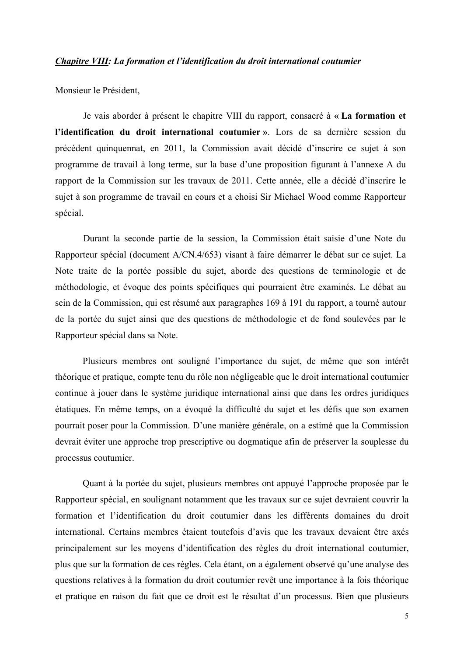#### *Chapitre VIII: La formation et l'identification du droit international coutumier*

Monsieur le Président,

Je vais aborder à présent le chapitre VIII du rapport, consacré à **« La formation et l'identification du droit international coutumier »**. Lors de sa dernière session du précédent quinquennat, en 2011, la Commission avait décidé d'inscrire ce sujet à son programme de travail à long terme, sur la base d'une proposition figurant à l'annexe A du rapport de la Commission sur les travaux de 2011. Cette année, elle a décidé d'inscrire le sujet à son programme de travail en cours et a choisi Sir Michael Wood comme Rapporteur spécial.

Durant la seconde partie de la session, la Commission était saisie d'une Note du Rapporteur spécial (document A/CN.4/653) visant à faire démarrer le débat sur ce sujet. La Note traite de la portée possible du sujet, aborde des questions de terminologie et de méthodologie, et évoque des points spécifiques qui pourraient être examinés. Le débat au sein de la Commission, qui est résumé aux paragraphes 169 à 191 du rapport, a tourné autour de la portée du sujet ainsi que des questions de méthodologie et de fond soulevées par le Rapporteur spécial dans sa Note.

Plusieurs membres ont souligné l'importance du sujet, de même que son intérêt théorique et pratique, compte tenu du rôle non négligeable que le droit international coutumier continue à jouer dans le système juridique international ainsi que dans les ordres juridiques étatiques. En même temps, on a évoqué la difficulté du sujet et les défis que son examen pourrait poser pour la Commission. D'une manière générale, on a estimé que la Commission devrait éviter une approche trop prescriptive ou dogmatique afin de préserver la souplesse du processus coutumier.

Quant à la portée du sujet, plusieurs membres ont appuyé l'approche proposée par le Rapporteur spécial, en soulignant notamment que les travaux sur ce sujet devraient couvrir la formation et l'identification du droit coutumier dans les différents domaines du droit international. Certains membres étaient toutefois d'avis que les travaux devaient être axés principalement sur les moyens d'identification des règles du droit international coutumier, plus que sur la formation de ces règles. Cela étant, on a également observé qu'une analyse des questions relatives à la formation du droit coutumier revêt une importance à la fois théorique et pratique en raison du fait que ce droit est le résultat d'un processus. Bien que plusieurs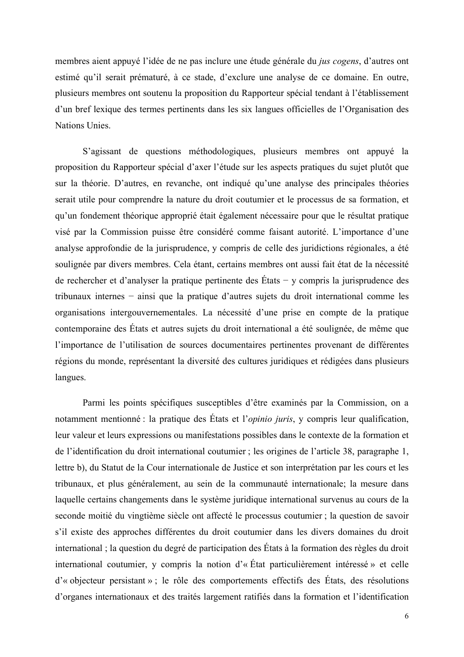membres aient appuyé l'idée de ne pas inclure une étude générale du *jus cogens*, d'autres ont estimé qu'il serait prématuré, à ce stade, d'exclure une analyse de ce domaine. En outre, plusieurs membres ont soutenu la proposition du Rapporteur spécial tendant à l'établissement d'un bref lexique des termes pertinents dans les six langues officielles de l'Organisation des Nations Unies.

S'agissant de questions méthodologiques, plusieurs membres ont appuyé la proposition du Rapporteur spécial d'axer l'étude sur les aspects pratiques du sujet plutôt que sur la théorie. D'autres, en revanche, ont indiqué qu'une analyse des principales théories serait utile pour comprendre la nature du droit coutumier et le processus de sa formation, et qu'un fondement théorique approprié était également nécessaire pour que le résultat pratique visé par la Commission puisse être considéré comme faisant autorité. L'importance d'une analyse approfondie de la jurisprudence, y compris de celle des juridictions régionales, a été soulignée par divers membres. Cela étant, certains membres ont aussi fait état de la nécessité de rechercher et d'analyser la pratique pertinente des États − y compris la jurisprudence des tribunaux internes − ainsi que la pratique d'autres sujets du droit international comme les organisations intergouvernementales. La nécessité d'une prise en compte de la pratique contemporaine des États et autres sujets du droit international a été soulignée, de même que l'importance de l'utilisation de sources documentaires pertinentes provenant de différentes régions du monde, représentant la diversité des cultures juridiques et rédigées dans plusieurs langues.

Parmi les points spécifiques susceptibles d'être examinés par la Commission, on a notamment mentionné : la pratique des États et l'*opinio juris*, y compris leur qualification, leur valeur et leurs expressions ou manifestations possibles dans le contexte de la formation et de l'identification du droit international coutumier ; les origines de l'article 38, paragraphe 1, lettre b), du Statut de la Cour internationale de Justice et son interprétation par les cours et les tribunaux, et plus généralement, au sein de la communauté internationale; la mesure dans laquelle certains changements dans le système juridique international survenus au cours de la seconde moitié du vingtième siècle ont affecté le processus coutumier ; la question de savoir s'il existe des approches différentes du droit coutumier dans les divers domaines du droit international ; la question du degré de participation des États à la formation des règles du droit international coutumier, y compris la notion d'« État particulièrement intéressé » et celle d'« objecteur persistant » ; le rôle des comportements effectifs des États, des résolutions d'organes internationaux et des traités largement ratifiés dans la formation et l'identification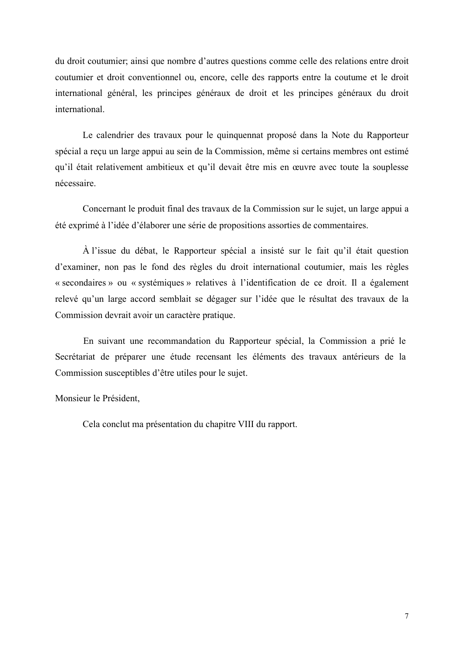du droit coutumier; ainsi que nombre d'autres questions comme celle des relations entre droit coutumier et droit conventionnel ou, encore, celle des rapports entre la coutume et le droit international général, les principes généraux de droit et les principes généraux du droit international.

Le calendrier des travaux pour le quinquennat proposé dans la Note du Rapporteur spécial a reçu un large appui au sein de la Commission, même si certains membres ont estimé qu'il était relativement ambitieux et qu'il devait être mis en œuvre avec toute la souplesse nécessaire.

Concernant le produit final des travaux de la Commission sur le sujet, un large appui a été exprimé à l'idée d'élaborer une série de propositions assorties de commentaires.

À l'issue du débat, le Rapporteur spécial a insisté sur le fait qu'il était question d'examiner, non pas le fond des règles du droit international coutumier, mais les règles « secondaires » ou « systémiques » relatives à l'identification de ce droit. Il a également relevé qu'un large accord semblait se dégager sur l'idée que le résultat des travaux de la Commission devrait avoir un caractère pratique.

En suivant une recommandation du Rapporteur spécial, la Commission a prié le Secrétariat de préparer une étude recensant les éléments des travaux antérieurs de la Commission susceptibles d'être utiles pour le sujet.

Monsieur le Président,

Cela conclut ma présentation du chapitre VIII du rapport.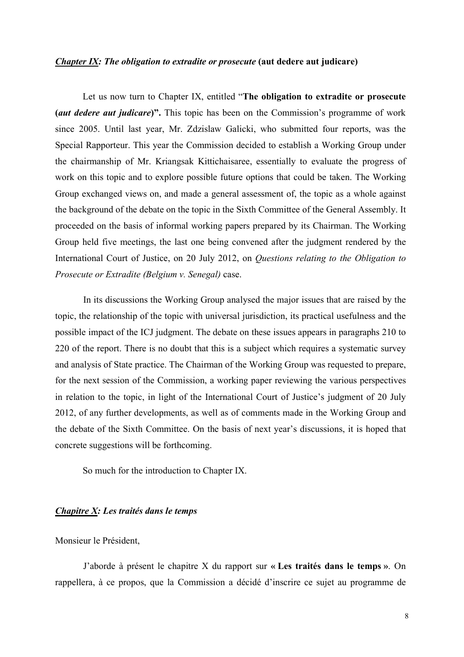#### *Chapter IX: The obligation to extradite or prosecute* (aut dedere aut judicare)

Let us now turn to Chapter IX, entitled "**The obligation to extradite or prosecute (***aut dedere aut judicare***)".** This topic has been on the Commission's programme of work since 2005. Until last year, Mr. Zdzislaw Galicki, who submitted four reports, was the Special Rapporteur. This year the Commission decided to establish a Working Group under the chairmanship of Mr. Kriangsak Kittichaisaree, essentially to evaluate the progress of work on this topic and to explore possible future options that could be taken. The Working Group exchanged views on, and made a general assessment of, the topic as a whole against the background of the debate on the topic in the Sixth Committee of the General Assembly. It proceeded on the basis of informal working papers prepared by its Chairman. The Working Group held five meetings, the last one being convened after the judgment rendered by the International Court of Justice, on 20 July 2012, on *Questions relating to the Obligation to Prosecute or Extradite (Belgium v. Senegal)* case.

In its discussions the Working Group analysed the major issues that are raised by the topic, the relationship of the topic with universal jurisdiction, its practical usefulness and the possible impact of the ICJ judgment. The debate on these issues appears in paragraphs 210 to 220 of the report. There is no doubt that this is a subject which requires a systematic survey and analysis of State practice. The Chairman of the Working Group was requested to prepare, for the next session of the Commission, a working paper reviewing the various perspectives in relation to the topic, in light of the International Court of Justice's judgment of 20 July 2012, of any further developments, as well as of comments made in the Working Group and the debate of the Sixth Committee. On the basis of next year's discussions, it is hoped that concrete suggestions will be forthcoming.

So much for the introduction to Chapter IX.

## *Chapitre X: Les traités dans le temps*

Monsieur le Président,

J'aborde à présent le chapitre X du rapport sur **« Les traités dans le temps »**. On rappellera, à ce propos, que la Commission a décidé d'inscrire ce sujet au programme de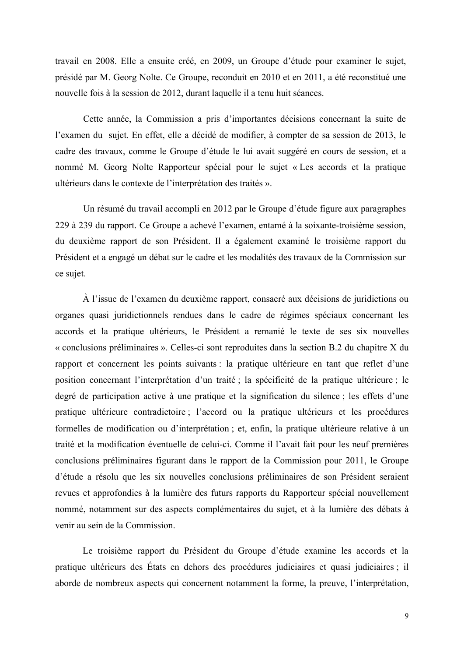travail en 2008. Elle a ensuite créé, en 2009, un Groupe d'étude pour examiner le sujet, présidé par M. Georg Nolte. Ce Groupe, reconduit en 2010 et en 2011, a été reconstitué une nouvelle fois à la session de 2012, durant laquelle il a tenu huit séances.

Cette année, la Commission a pris d'importantes décisions concernant la suite de l'examen du sujet. En effet, elle a décidé de modifier, à compter de sa session de 2013, le cadre des travaux, comme le Groupe d'étude le lui avait suggéré en cours de session, et a nommé M. Georg Nolte Rapporteur spécial pour le sujet « Les accords et la pratique ultérieurs dans le contexte de l'interprétation des traités ».

Un résumé du travail accompli en 2012 par le Groupe d'étude figure aux paragraphes 229 à 239 du rapport. Ce Groupe a achevé l'examen, entamé à la soixante-troisième session, du deuxième rapport de son Président. Il a également examiné le troisième rapport du Président et a engagé un débat sur le cadre et les modalités des travaux de la Commission sur ce sujet.

À l'issue de l'examen du deuxième rapport, consacré aux décisions de juridictions ou organes quasi juridictionnels rendues dans le cadre de régimes spéciaux concernant les accords et la pratique ultérieurs, le Président a remanié le texte de ses six nouvelles « conclusions préliminaires ». Celles-ci sont reproduites dans la section B.2 du chapitre X du rapport et concernent les points suivants : la pratique ultérieure en tant que reflet d'une position concernant l'interprétation d'un traité ; la spécificité de la pratique ultérieure ; le degré de participation active à une pratique et la signification du silence ; les effets d'une pratique ultérieure contradictoire ; l'accord ou la pratique ultérieurs et les procédures formelles de modification ou d'interprétation ; et, enfin, la pratique ultérieure relative à un traité et la modification éventuelle de celui-ci. Comme il l'avait fait pour les neuf premières conclusions préliminaires figurant dans le rapport de la Commission pour 2011, le Groupe d'étude a résolu que les six nouvelles conclusions préliminaires de son Président seraient revues et approfondies à la lumière des futurs rapports du Rapporteur spécial nouvellement nommé, notamment sur des aspects complémentaires du sujet, et à la lumière des débats à venir au sein de la Commission.

Le troisième rapport du Président du Groupe d'étude examine les accords et la pratique ultérieurs des États en dehors des procédures judiciaires et quasi judiciaires ; il aborde de nombreux aspects qui concernent notamment la forme, la preuve, l'interprétation,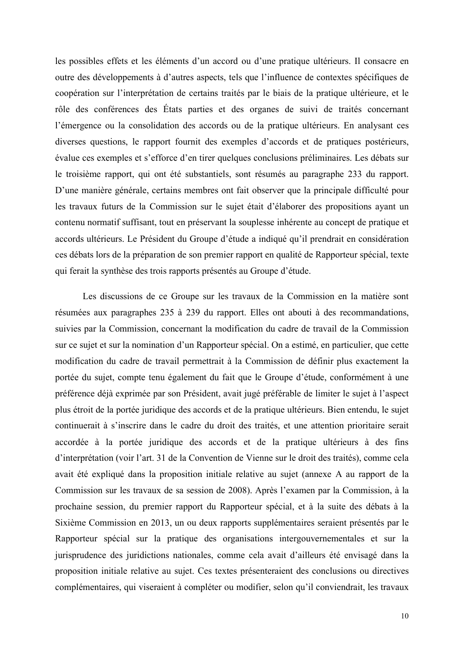les possibles effets et les éléments d'un accord ou d'une pratique ultérieurs. Il consacre en outre des développements à d'autres aspects, tels que l'influence de contextes spécifiques de coopération sur l'interprétation de certains traités par le biais de la pratique ultérieure, et le rôle des conférences des États parties et des organes de suivi de traités concernant l'émergence ou la consolidation des accords ou de la pratique ultérieurs. En analysant ces diverses questions, le rapport fournit des exemples d'accords et de pratiques postérieurs, évalue ces exemples et s'efforce d'en tirer quelques conclusions préliminaires. Les débats sur le troisième rapport, qui ont été substantiels, sont résumés au paragraphe 233 du rapport. D'une manière générale, certains membres ont fait observer que la principale difficulté pour les travaux futurs de la Commission sur le sujet était d'élaborer des propositions ayant un contenu normatif suffisant, tout en préservant la souplesse inhérente au concept de pratique et accords ultérieurs. Le Président du Groupe d'étude a indiqué qu'il prendrait en considération ces débats lors de la préparation de son premier rapport en qualité de Rapporteur spécial, texte qui ferait la synthèse des trois rapports présentés au Groupe d'étude.

Les discussions de ce Groupe sur les travaux de la Commission en la matière sont résumées aux paragraphes 235 à 239 du rapport. Elles ont abouti à des recommandations, suivies par la Commission, concernant la modification du cadre de travail de la Commission sur ce sujet et sur la nomination d'un Rapporteur spécial. On a estimé, en particulier, que cette modification du cadre de travail permettrait à la Commission de définir plus exactement la portée du sujet, compte tenu également du fait que le Groupe d'étude, conformément à une préférence déjà exprimée par son Président, avait jugé préférable de limiter le sujet à l'aspect plus étroit de la portée juridique des accords et de la pratique ultérieurs. Bien entendu, le sujet continuerait à s'inscrire dans le cadre du droit des traités, et une attention prioritaire serait accordée à la portée juridique des accords et de la pratique ultérieurs à des fins d'interprétation (voir l'art. 31 de la Convention de Vienne sur le droit des traités), comme cela avait été expliqué dans la proposition initiale relative au sujet (annexe A au rapport de la Commission sur les travaux de sa session de 2008). Après l'examen par la Commission, à la prochaine session, du premier rapport du Rapporteur spécial, et à la suite des débats à la Sixième Commission en 2013, un ou deux rapports supplémentaires seraient présentés par le Rapporteur spécial sur la pratique des organisations intergouvernementales et sur la jurisprudence des juridictions nationales, comme cela avait d'ailleurs été envisagé dans la proposition initiale relative au sujet. Ces textes présenteraient des conclusions ou directives complémentaires, qui viseraient à compléter ou modifier, selon qu'il conviendrait, les travaux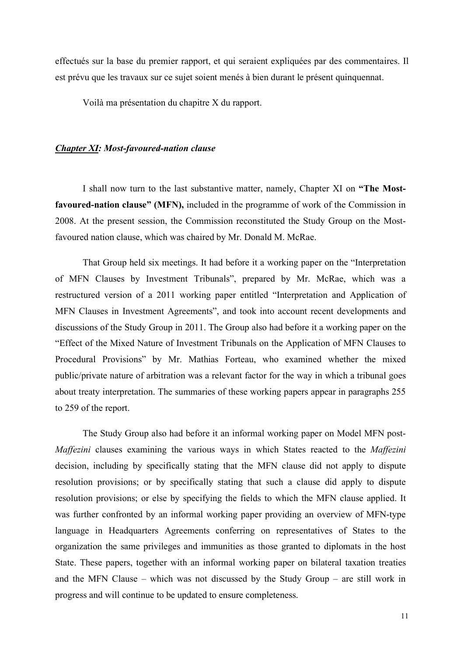effectués sur la base du premier rapport, et qui seraient expliquées par des commentaires. Il est prévu que les travaux sur ce sujet soient menés à bien durant le présent quinquennat.

Voilà ma présentation du chapitre X du rapport.

#### *Chapter XI: Most-favoured-nation clause*

I shall now turn to the last substantive matter, namely, Chapter XI on **"The Mostfavoured-nation clause" (MFN),** included in the programme of work of the Commission in 2008. At the present session, the Commission reconstituted the Study Group on the Mostfavoured nation clause, which was chaired by Mr. Donald M. McRae.

That Group held six meetings. It had before it a working paper on the "Interpretation of MFN Clauses by Investment Tribunals", prepared by Mr. McRae, which was a restructured version of a 2011 working paper entitled "Interpretation and Application of MFN Clauses in Investment Agreements", and took into account recent developments and discussions of the Study Group in 2011. The Group also had before it a working paper on the "Effect of the Mixed Nature of Investment Tribunals on the Application of MFN Clauses to Procedural Provisions" by Mr. Mathias Forteau, who examined whether the mixed public/private nature of arbitration was a relevant factor for the way in which a tribunal goes about treaty interpretation. The summaries of these working papers appear in paragraphs 255 to 259 of the report.

The Study Group also had before it an informal working paper on Model MFN post-*Maffezini* clauses examining the various ways in which States reacted to the *Maffezini* decision, including by specifically stating that the MFN clause did not apply to dispute resolution provisions; or by specifically stating that such a clause did apply to dispute resolution provisions; or else by specifying the fields to which the MFN clause applied. It was further confronted by an informal working paper providing an overview of MFN-type language in Headquarters Agreements conferring on representatives of States to the organization the same privileges and immunities as those granted to diplomats in the host State. These papers, together with an informal working paper on bilateral taxation treaties and the MFN Clause – which was not discussed by the Study Group – are still work in progress and will continue to be updated to ensure completeness.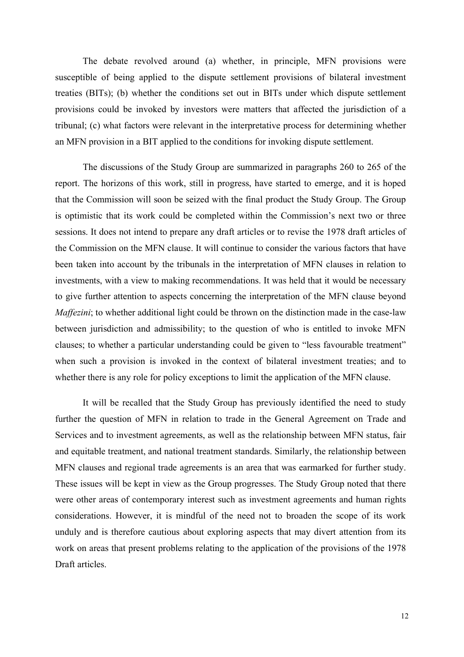The debate revolved around (a) whether, in principle, MFN provisions were susceptible of being applied to the dispute settlement provisions of bilateral investment treaties (BITs); (b) whether the conditions set out in BITs under which dispute settlement provisions could be invoked by investors were matters that affected the jurisdiction of a tribunal; (c) what factors were relevant in the interpretative process for determining whether an MFN provision in a BIT applied to the conditions for invoking dispute settlement.

The discussions of the Study Group are summarized in paragraphs 260 to 265 of the report. The horizons of this work, still in progress, have started to emerge, and it is hoped that the Commission will soon be seized with the final product the Study Group. The Group is optimistic that its work could be completed within the Commission's next two or three sessions. It does not intend to prepare any draft articles or to revise the 1978 draft articles of the Commission on the MFN clause. It will continue to consider the various factors that have been taken into account by the tribunals in the interpretation of MFN clauses in relation to investments, with a view to making recommendations. It was held that it would be necessary to give further attention to aspects concerning the interpretation of the MFN clause beyond *Maffezini*; to whether additional light could be thrown on the distinction made in the case-law between jurisdiction and admissibility; to the question of who is entitled to invoke MFN clauses; to whether a particular understanding could be given to "less favourable treatment" when such a provision is invoked in the context of bilateral investment treaties; and to whether there is any role for policy exceptions to limit the application of the MFN clause.

It will be recalled that the Study Group has previously identified the need to study further the question of MFN in relation to trade in the General Agreement on Trade and Services and to investment agreements, as well as the relationship between MFN status, fair and equitable treatment, and national treatment standards. Similarly, the relationship between MFN clauses and regional trade agreements is an area that was earmarked for further study. These issues will be kept in view as the Group progresses. The Study Group noted that there were other areas of contemporary interest such as investment agreements and human rights considerations. However, it is mindful of the need not to broaden the scope of its work unduly and is therefore cautious about exploring aspects that may divert attention from its work on areas that present problems relating to the application of the provisions of the 1978 Draft articles.